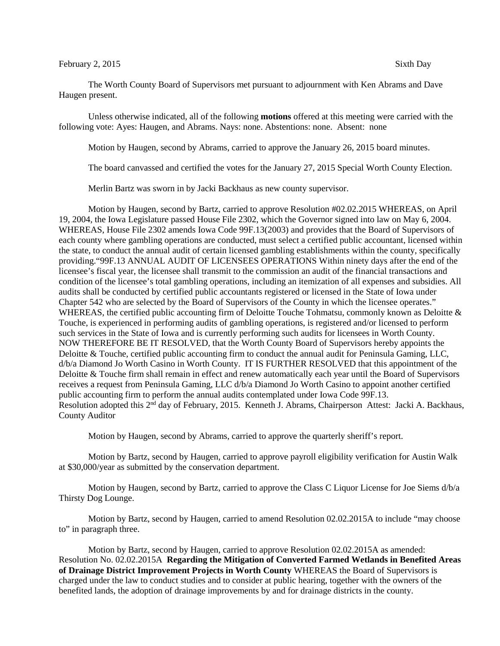## February 2, 2015 Sixth Day

The Worth County Board of Supervisors met pursuant to adjournment with Ken Abrams and Dave Haugen present.

Unless otherwise indicated, all of the following **motions** offered at this meeting were carried with the following vote: Ayes: Haugen, and Abrams. Nays: none. Abstentions: none. Absent: none

Motion by Haugen, second by Abrams, carried to approve the January 26, 2015 board minutes.

The board canvassed and certified the votes for the January 27, 2015 Special Worth County Election.

Merlin Bartz was sworn in by Jacki Backhaus as new county supervisor.

Motion by Haugen, second by Bartz, carried to approve Resolution #02.02.2015 WHEREAS, on April 19, 2004, the Iowa Legislature passed House File 2302, which the Governor signed into law on May 6, 2004. WHEREAS, House File 2302 amends Iowa Code 99F.13(2003) and provides that the Board of Supervisors of each county where gambling operations are conducted, must select a certified public accountant, licensed within the state, to conduct the annual audit of certain licensed gambling establishments within the county, specifically providing."99F.13 ANNUAL AUDIT OF LICENSEES OPERATIONS Within ninety days after the end of the licensee's fiscal year, the licensee shall transmit to the commission an audit of the financial transactions and condition of the licensee's total gambling operations, including an itemization of all expenses and subsidies. All audits shall be conducted by certified public accountants registered or licensed in the State of Iowa under Chapter 542 who are selected by the Board of Supervisors of the County in which the licensee operates." WHEREAS, the certified public accounting firm of Deloitte Touche Tohmatsu, commonly known as Deloitte & Touche, is experienced in performing audits of gambling operations, is registered and/or licensed to perform such services in the State of Iowa and is currently performing such audits for licensees in Worth County. NOW THEREFORE BE IT RESOLVED, that the Worth County Board of Supervisors hereby appoints the Deloitte & Touche, certified public accounting firm to conduct the annual audit for Peninsula Gaming, LLC, d/b/a Diamond Jo Worth Casino in Worth County. IT IS FURTHER RESOLVED that this appointment of the Deloitte & Touche firm shall remain in effect and renew automatically each year until the Board of Supervisors receives a request from Peninsula Gaming, LLC d/b/a Diamond Jo Worth Casino to appoint another certified public accounting firm to perform the annual audits contemplated under Iowa Code 99F.13. Resolution adopted this 2nd day of February, 2015. Kenneth J. Abrams, Chairperson Attest: Jacki A. Backhaus, County Auditor

Motion by Haugen, second by Abrams, carried to approve the quarterly sheriff's report.

Motion by Bartz, second by Haugen, carried to approve payroll eligibility verification for Austin Walk at \$30,000/year as submitted by the conservation department.

Motion by Haugen, second by Bartz, carried to approve the Class C Liquor License for Joe Siems d/b/a Thirsty Dog Lounge.

Motion by Bartz, second by Haugen, carried to amend Resolution 02.02.2015A to include "may choose to" in paragraph three.

Motion by Bartz, second by Haugen, carried to approve Resolution 02.02.2015A as amended: Resolution No. 02.02.2015A **Regarding the Mitigation of Converted Farmed Wetlands in Benefited Areas of Drainage District Improvement Projects in Worth County** WHEREAS the Board of Supervisors is charged under the law to conduct studies and to consider at public hearing, together with the owners of the benefited lands, the adoption of drainage improvements by and for drainage districts in the county.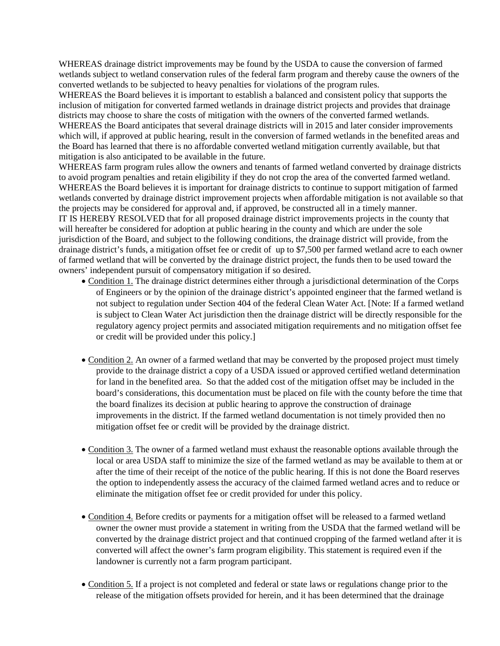WHEREAS drainage district improvements may be found by the USDA to cause the conversion of farmed wetlands subject to wetland conservation rules of the federal farm program and thereby cause the owners of the converted wetlands to be subjected to heavy penalties for violations of the program rules.

WHEREAS the Board believes it is important to establish a balanced and consistent policy that supports the inclusion of mitigation for converted farmed wetlands in drainage district projects and provides that drainage districts may choose to share the costs of mitigation with the owners of the converted farmed wetlands. WHEREAS the Board anticipates that several drainage districts will in 2015 and later consider improvements which will, if approved at public hearing, result in the conversion of farmed wetlands in the benefited areas and the Board has learned that there is no affordable converted wetland mitigation currently available, but that mitigation is also anticipated to be available in the future.

WHEREAS farm program rules allow the owners and tenants of farmed wetland converted by drainage districts to avoid program penalties and retain eligibility if they do not crop the area of the converted farmed wetland. WHEREAS the Board believes it is important for drainage districts to continue to support mitigation of farmed wetlands converted by drainage district improvement projects when affordable mitigation is not available so that the projects may be considered for approval and, if approved, be constructed all in a timely manner. IT IS HEREBY RESOLVED that for all proposed drainage district improvements projects in the county that will hereafter be considered for adoption at public hearing in the county and which are under the sole jurisdiction of the Board, and subject to the following conditions, the drainage district will provide, from the drainage district's funds, a mitigation offset fee or credit of up to \$7,500 per farmed wetland acre to each owner of farmed wetland that will be converted by the drainage district project, the funds then to be used toward the owners' independent pursuit of compensatory mitigation if so desired.

- Condition 1. The drainage district determines either through a jurisdictional determination of the Corps of Engineers or by the opinion of the drainage district's appointed engineer that the farmed wetland is not subject to regulation under Section 404 of the federal Clean Water Act. [Note: If a farmed wetland is subject to Clean Water Act jurisdiction then the drainage district will be directly responsible for the regulatory agency project permits and associated mitigation requirements and no mitigation offset fee or credit will be provided under this policy.]
- Condition 2. An owner of a farmed wetland that may be converted by the proposed project must timely provide to the drainage district a copy of a USDA issued or approved certified wetland determination for land in the benefited area. So that the added cost of the mitigation offset may be included in the board's considerations, this documentation must be placed on file with the county before the time that the board finalizes its decision at public hearing to approve the construction of drainage improvements in the district. If the farmed wetland documentation is not timely provided then no mitigation offset fee or credit will be provided by the drainage district.
- Condition 3. The owner of a farmed wetland must exhaust the reasonable options available through the local or area USDA staff to minimize the size of the farmed wetland as may be available to them at or after the time of their receipt of the notice of the public hearing. If this is not done the Board reserves the option to independently assess the accuracy of the claimed farmed wetland acres and to reduce or eliminate the mitigation offset fee or credit provided for under this policy.
- Condition 4. Before credits or payments for a mitigation offset will be released to a farmed wetland owner the owner must provide a statement in writing from the USDA that the farmed wetland will be converted by the drainage district project and that continued cropping of the farmed wetland after it is converted will affect the owner's farm program eligibility. This statement is required even if the landowner is currently not a farm program participant.
- Condition 5. If a project is not completed and federal or state laws or regulations change prior to the release of the mitigation offsets provided for herein, and it has been determined that the drainage